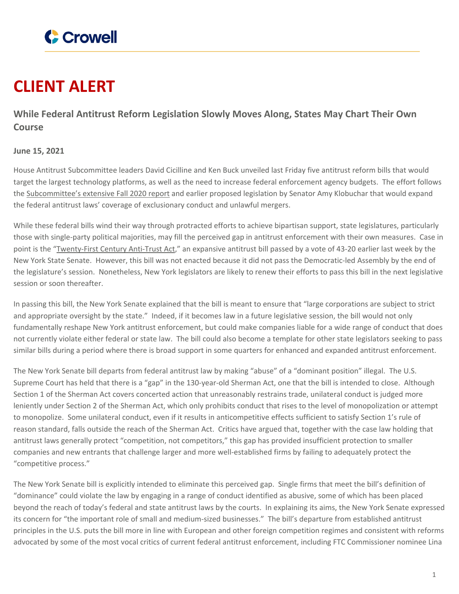

## **CLIENT ALERT**

**While Federal Antitrust Reform Legislation Slowly Moves Along, States May Chart Their Own Course**

## **June 15, 2021**

House Antitrust Subcommittee leaders David Cicilline and Ken Buck unveiled last Friday five antitrust reform bills that would target the largest technology platforms, as well as the need to increase federal enforcement agency budgets. The effort follows the [Subcommittee's](https://www.crowell.com/NewsEvents/AlertsNewsletters/all/House-Antitrust-Digital-Markets-Report-Proposes-Vast-Overhaul-of-Antitrust-Law-and-Enforcement) extensive Fall 2020 report and earlier proposed legislation by Senator Amy Klobuchar that would expand the federal antitrust laws' coverage of exclusionary conduct and unlawful mergers.

While these federal bills wind their way through protracted efforts to achieve bipartisan support, state legislatures, particularly those with single-party political majorities, may fill the perceived gap in antitrust enforcement with their own measures. Case in point is the ["Twenty-First](https://www.nysenate.gov/legislation/bills/2021/S933) Century Anti-Trust Act," an expansive antitrust bill passed by a vote of 43-20 earlier last week by the New York State Senate. However, this bill was not enacted because it did not pass the Democratic-led Assembly by the end of the legislature's session. Nonetheless, New York legislators are likely to renew their efforts to pass this bill in the next legislative session or soon thereafter.

In passing this bill, the New York Senate explained that the bill is meant to ensure that "large corporations are subject to strict and appropriate oversight by the state." Indeed, if it becomes law in a future legislative session, the bill would not only fundamentally reshape New York antitrust enforcement, but could make companies liable for a wide range of conduct that does not currently violate either federal or state law. The bill could also become a template for other state legislators seeking to pass similar bills during a period where there is broad support in some quarters for enhanced and expanded antitrust enforcement.

The New York Senate bill departs from federal antitrust law by making "abuse" of a "dominant position" illegal. The U.S. Supreme Court has held that there is a "gap" in the 130-year-old Sherman Act, one that the bill is intended to close. Although Section 1 of the Sherman Act covers concerted action that unreasonably restrains trade, unilateral conduct is judged more leniently under Section 2 of the Sherman Act, which only prohibits conduct that rises to the level of monopolization or attempt to monopolize. Some unilateral conduct, even if it results in anticompetitive effects sufficient to satisfy Section 1's rule of reason standard, falls outside the reach of the Sherman Act. Critics have argued that, together with the case law holding that antitrust laws generally protect "competition, not competitors," this gap has provided insufficient protection to smaller companies and new entrants that challenge larger and more well-established firms by failing to adequately protect the "competitive process."

The New York Senate bill is explicitly intended to eliminate this perceived gap. Single firms that meet the bill's definition of "dominance" could violate the law by engaging in a range of conduct identified as abusive, some of which has been placed beyond the reach of today's federal and state antitrust laws by the courts. In explaining its aims, the New York Senate expressed its concern for "the important role of small and medium-sized businesses." The bill's departure from established antitrust principles in the U.S. puts the bill more in line with European and other foreign competition regimes and consistent with reforms advocated by some of the most vocal critics of current federal antitrust enforcement, including FTC Commissioner nominee Lina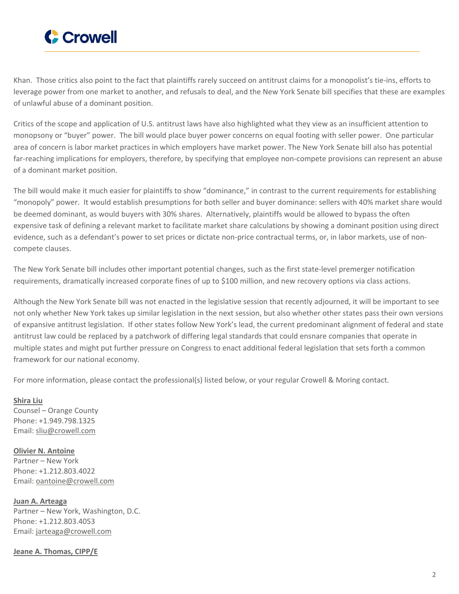

Khan. Those critics also point to the fact that plaintiffs rarely succeed on antitrust claims for a monopolist's tie-ins, efforts to leverage power from one market to another, and refusals to deal, and the New York Senate bill specifies that these are examples of unlawful abuse of a dominant position.

Critics of the scope and application of U.S. antitrust laws have also highlighted what they view as an insufficient attention to monopsony or "buyer" power. The bill would place buyer power concerns on equal footing with seller power. One particular area of concern is labor market practices in which employers have market power. The New York Senate bill also has potential far-reaching implications for employers, therefore, by specifying that employee non-compete provisions can represent an abuse of a dominant market position.

The bill would make it much easier for plaintiffs to show "dominance," in contrast to the current requirements for establishing "monopoly" power. It would establish presumptions for both seller and buyer dominance: sellers with 40% market share would be deemed dominant, as would buyers with 30% shares. Alternatively, plaintiffs would be allowed to bypass the often expensive task of defining a relevant market to facilitate market share calculations by showing a dominant position using direct evidence, such as a defendant's power to set prices or dictate non-price contractual terms, or, in labor markets, use of noncompete clauses.

The New York Senate bill includes other important potential changes, such as the first state-level premerger notification requirements, dramatically increased corporate fines of up to \$100 million, and new recovery options via class actions.

Although the New York Senate bill was not enacted in the legislative session that recently adjourned, it will be important to see not only whether New York takes up similar legislation in the next session, but also whether other states pass their own versions of expansive antitrust legislation. If other states follow New York's lead, the current predominant alignment of federal and state antitrust law could be replaced by a patchwork of differing legal standards that could ensnare companies that operate in multiple states and might put further pressure on Congress to enact additional federal legislation that sets forth a common framework for our national economy.

For more information, please contact the professional(s) listed below, or your regular Crowell & Moring contact.

**[Shira](https://www.crowell.com/professionals/Shira-Liu) Liu** Counsel – Orange County Phone: +1.949.798.1325 Email: [sliu@crowell.com](mailto:sliu@crowell.com)

**Olivier N. [Antoine](https://www.crowell.com/professionals/Olivier-Antoine)** Partner – New York Phone: +1.212.803.4022 Email: [oantoine@crowell.com](mailto:oantoine@crowell.com)

**Juan A. [Arteaga](https://www.crowell.com/professionals/Juan-Arteaga)** Partner – New York, Washington, D.C. Phone: +1.212.803.4053 Email: [jarteaga@crowell.com](mailto:jarteaga@crowell.com)

**Jeane A. [Thomas,](https://www.crowell.com/professionals/Jeane-Thomas) CIPP/E**